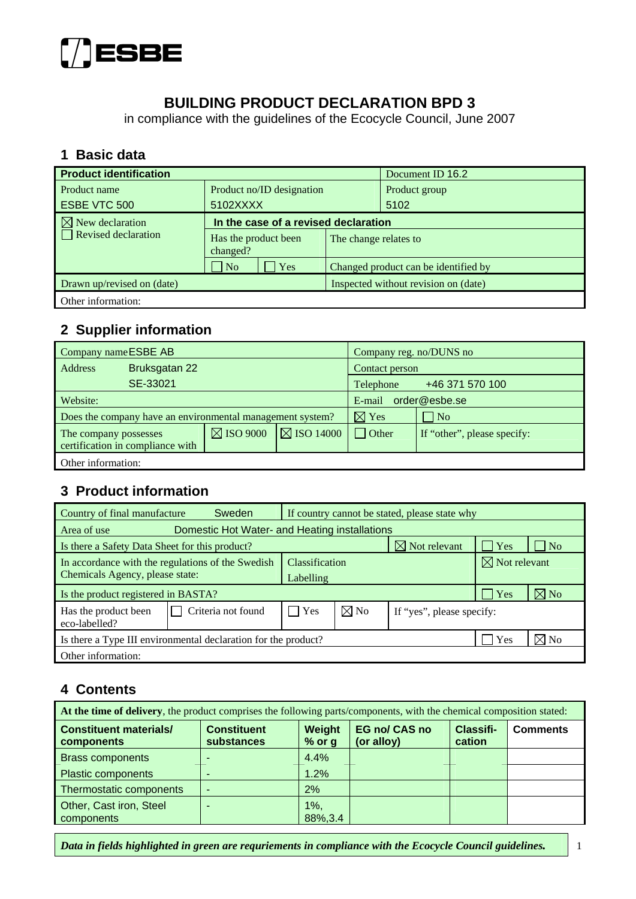

## **BUILDING PRODUCT DECLARATION BPD 3**

in compliance with the guidelines of the Ecocycle Council, June 2007

#### **1 Basic data**

| <b>Product identification</b> |                                      |                                      | Document ID 16.2      |  |
|-------------------------------|--------------------------------------|--------------------------------------|-----------------------|--|
| Product name                  | Product no/ID designation            |                                      | Product group         |  |
| ESBE VTC 500                  | 5102XXXX                             |                                      | 5102                  |  |
| $\boxtimes$ New declaration   | In the case of a revised declaration |                                      |                       |  |
| $\Box$ Revised declaration    | Has the product been<br>changed?     |                                      | The change relates to |  |
|                               | $\overline{\phantom{a}}$ No<br>Yes   | Changed product can be identified by |                       |  |
| Drawn up/revised on (date)    |                                      | Inspected without revision on (date) |                       |  |
| Other information:            |                                      |                                      |                       |  |

# **2 Supplier information**

| Company name ESBE AB  |                                                           |                      | Company reg. no/DUNS no      |                 |                             |  |
|-----------------------|-----------------------------------------------------------|----------------------|------------------------------|-----------------|-----------------------------|--|
| Address               | Bruksgatan 22                                             |                      |                              | Contact person  |                             |  |
|                       | SE-33021                                                  |                      | +46 371 570 100<br>Telephone |                 |                             |  |
| Website:              |                                                           |                      | order@esbe.se<br>E-mail      |                 |                             |  |
|                       | Does the company have an environmental management system? |                      |                              | $\boxtimes$ Yes | $\vert$ No                  |  |
| The company possesses | certification in compliance with                          | $\boxtimes$ ISO 9000 | $\boxtimes$ ISO 14000        | Other           | If "other", please specify: |  |
| Other information:    |                                                           |                      |                              |                 |                             |  |

#### **3 Product information**

| Country of final manufacture                                   | <b>Sweden</b>                                     |                | If country cannot be stated, please state why |                           |                          |                |  |
|----------------------------------------------------------------|---------------------------------------------------|----------------|-----------------------------------------------|---------------------------|--------------------------|----------------|--|
| Area of use                                                    | Domestic Hot Water- and Heating installations     |                |                                               |                           |                          |                |  |
| Is there a Safety Data Sheet for this product?                 |                                                   |                |                                               | $\boxtimes$ Not relevant  | Yes                      | N <sub>o</sub> |  |
|                                                                | In accordance with the regulations of the Swedish | Classification |                                               |                           | $\boxtimes$ Not relevant |                |  |
| Chemicals Agency, please state:                                |                                                   | Labelling      |                                               |                           |                          |                |  |
| Is the product registered in BASTA?                            |                                                   |                |                                               |                           | <b>Yes</b>               | $\boxtimes$ No |  |
| Has the product been<br>eco-labelled?                          | Criteria not found                                | Yes            | $\boxtimes$ No                                | If "yes", please specify: |                          |                |  |
| Is there a Type III environmental declaration for the product? |                                                   |                |                                               | Yes                       | $\boxtimes$ No           |                |  |
| Other information:                                             |                                                   |                |                                               |                           |                          |                |  |

#### **4 Contents**

| At the time of delivery, the product comprises the following parts/components, with the chemical composition stated: |                                  |                     |                                    |                     |                 |  |  |
|----------------------------------------------------------------------------------------------------------------------|----------------------------------|---------------------|------------------------------------|---------------------|-----------------|--|--|
| <b>Constituent materials/</b><br>components                                                                          | <b>Constituent</b><br>substances | Weight<br>$%$ or g  | <b>EG no/ CAS no</b><br>(or alloy) | Classifi-<br>cation | <b>Comments</b> |  |  |
| <b>Brass components</b>                                                                                              |                                  | 4.4%                |                                    |                     |                 |  |  |
| <b>Plastic components</b>                                                                                            |                                  | 1.2%                |                                    |                     |                 |  |  |
| Thermostatic components                                                                                              |                                  | 2%                  |                                    |                     |                 |  |  |
| Other, Cast iron, Steel<br>components                                                                                |                                  | $1\%$ ,<br>88%, 3.4 |                                    |                     |                 |  |  |

*Data in fields highlighted in green are requriements in compliance with the Ecocycle Council guidelines.* 1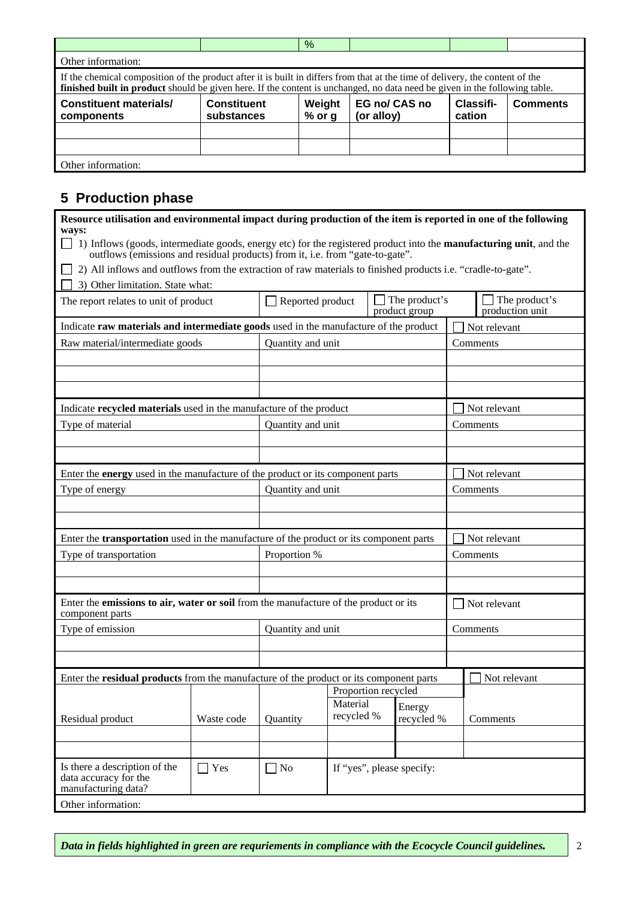|                                                                                                                                                                                                                                                             |                                  | %                  |                             |                     |                 |  |
|-------------------------------------------------------------------------------------------------------------------------------------------------------------------------------------------------------------------------------------------------------------|----------------------------------|--------------------|-----------------------------|---------------------|-----------------|--|
| Other information:                                                                                                                                                                                                                                          |                                  |                    |                             |                     |                 |  |
| If the chemical composition of the product after it is built in differs from that at the time of delivery, the content of the<br>finished built in product should be given here. If the content is unchanged, no data need be given in the following table. |                                  |                    |                             |                     |                 |  |
| <b>Constituent materials/</b><br>components                                                                                                                                                                                                                 | <b>Constituent</b><br>substances | Weight<br>$%$ or g | EG no/ CAS no<br>(or alloy) | Classifi-<br>cation | <b>Comments</b> |  |
|                                                                                                                                                                                                                                                             |                                  |                    |                             |                     |                 |  |
|                                                                                                                                                                                                                                                             |                                  |                    |                             |                     |                 |  |
| Other information:                                                                                                                                                                                                                                          |                                  |                    |                             |                     |                 |  |

#### **5 Production phase**

| Resource utilisation and environmental impact during production of the item is reported in one of the following<br>ways:                                                                                           |            |                   |                        |                                       |                                         |  |
|--------------------------------------------------------------------------------------------------------------------------------------------------------------------------------------------------------------------|------------|-------------------|------------------------|---------------------------------------|-----------------------------------------|--|
| $\Box$ 1) Inflows (goods, intermediate goods, energy etc) for the registered product into the <b>manufacturing unit</b> , and the<br>outflows (emissions and residual products) from it, i.e. from "gate-to-gate". |            |                   |                        |                                       |                                         |  |
| 2) All inflows and outflows from the extraction of raw materials to finished products i.e. "cradle-to-gate".                                                                                                       |            |                   |                        |                                       |                                         |  |
| 3) Other limitation. State what:                                                                                                                                                                                   |            |                   |                        |                                       |                                         |  |
| The report relates to unit of product                                                                                                                                                                              |            | Reported product  |                        | $\Box$ The product's<br>product group | $\Box$ The product's<br>production unit |  |
| Indicate raw materials and intermediate goods used in the manufacture of the product                                                                                                                               |            |                   |                        |                                       | Not relevant                            |  |
| Raw material/intermediate goods                                                                                                                                                                                    |            | Quantity and unit |                        |                                       | Comments                                |  |
|                                                                                                                                                                                                                    |            |                   |                        |                                       |                                         |  |
|                                                                                                                                                                                                                    |            |                   |                        |                                       |                                         |  |
|                                                                                                                                                                                                                    |            |                   |                        |                                       |                                         |  |
| Indicate recycled materials used in the manufacture of the product                                                                                                                                                 |            |                   |                        |                                       | Not relevant                            |  |
| Type of material                                                                                                                                                                                                   |            | Quantity and unit |                        |                                       | Comments                                |  |
|                                                                                                                                                                                                                    |            |                   |                        |                                       |                                         |  |
|                                                                                                                                                                                                                    |            |                   |                        |                                       |                                         |  |
| Enter the <b>energy</b> used in the manufacture of the product or its component parts                                                                                                                              |            |                   |                        |                                       | Not relevant                            |  |
| Type of energy                                                                                                                                                                                                     |            | Quantity and unit |                        |                                       | Comments                                |  |
|                                                                                                                                                                                                                    |            |                   |                        |                                       |                                         |  |
|                                                                                                                                                                                                                    |            |                   |                        |                                       |                                         |  |
| Enter the <b>transportation</b> used in the manufacture of the product or its component parts                                                                                                                      |            |                   |                        |                                       | Not relevant                            |  |
| Type of transportation                                                                                                                                                                                             |            | Proportion %      |                        |                                       | Comments                                |  |
|                                                                                                                                                                                                                    |            |                   |                        |                                       |                                         |  |
|                                                                                                                                                                                                                    |            |                   |                        |                                       |                                         |  |
| Enter the emissions to air, water or soil from the manufacture of the product or its<br>component parts                                                                                                            |            |                   |                        |                                       | Not relevant                            |  |
| Type of emission                                                                                                                                                                                                   |            | Quantity and unit |                        |                                       | Comments                                |  |
|                                                                                                                                                                                                                    |            |                   |                        |                                       |                                         |  |
|                                                                                                                                                                                                                    |            |                   |                        |                                       |                                         |  |
| Enter the <b>residual products</b> from the manufacture of the product or its component parts                                                                                                                      |            |                   |                        |                                       | Not relevant                            |  |
|                                                                                                                                                                                                                    |            |                   |                        | Proportion recycled                   |                                         |  |
|                                                                                                                                                                                                                    |            |                   | Material<br>recycled % | Energy                                |                                         |  |
| Residual product                                                                                                                                                                                                   | Waste code | Quantity          |                        | recycled %                            | Comments                                |  |
|                                                                                                                                                                                                                    |            |                   |                        |                                       |                                         |  |
|                                                                                                                                                                                                                    |            |                   |                        |                                       |                                         |  |
| Is there a description of the<br>data accuracy for the<br>manufacturing data?                                                                                                                                      | $\Box$ Yes | No                |                        | If "yes", please specify:             |                                         |  |
| Other information:                                                                                                                                                                                                 |            |                   |                        |                                       |                                         |  |

*Data in fields highlighted in green are requriements in compliance with the Ecocycle Council guidelines.*  $\vert$  2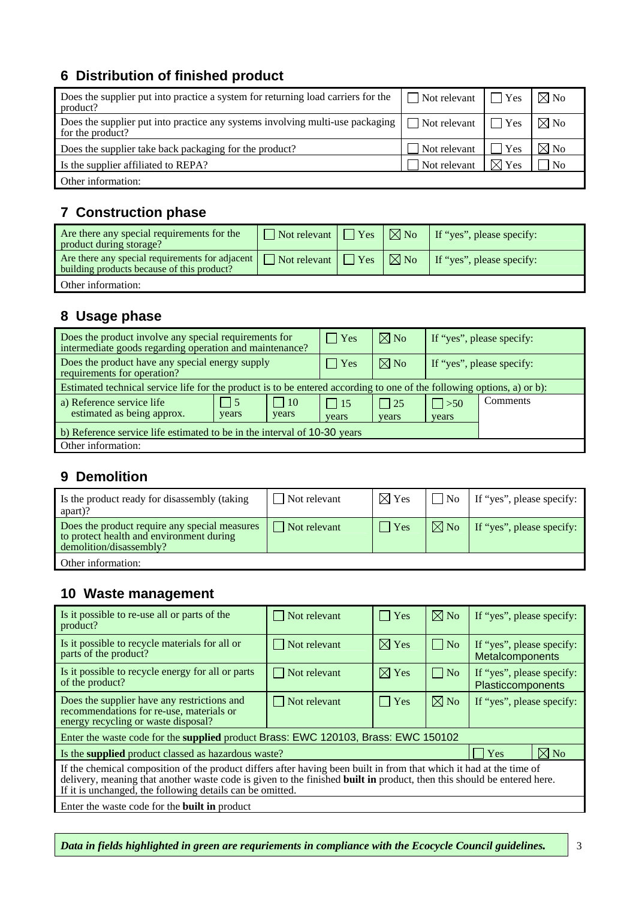## **6 Distribution of finished product**

| Does the supplier put into practice a system for returning load carriers for the<br>product?      | $\Box$ Not relevant $\Box$ Yes |                 | $\boxtimes$ No |
|---------------------------------------------------------------------------------------------------|--------------------------------|-----------------|----------------|
| Does the supplier put into practice any systems involving multi-use packaging<br>for the product? | $\Box$ Not relevant $\Box$ Yes |                 | $\boxtimes$ No |
| Does the supplier take back packaging for the product?                                            | Not relevant                   | Yes             | $\boxtimes$ No |
| Is the supplier affiliated to REPA?                                                               | Not relevant                   | $\boxtimes$ Yes | N <sub>0</sub> |
| Other information:                                                                                |                                |                 |                |

## **7 Construction phase**

| Are there any special requirements for the<br>product during storage?                                                        | $\Box$ Not relevant $\Box$ Yes | $\mid \nabla \!\!\!\!\!\nabla$ No | If "yes", please specify: |
|------------------------------------------------------------------------------------------------------------------------------|--------------------------------|-----------------------------------|---------------------------|
| Are there any special requirements for adjacent $\Box$ Not relevant $\Box$ Yes<br>building products because of this product? |                                | $\mid \nabla \mid$ No             | If "yes", please specify: |
| Other information:                                                                                                           |                                |                                   |                           |

# **8 Usage phase**

| Does the product involve any special requirements for<br>intermediate goods regarding operation and maintenance?       |                  |                    | $\Box$ Yes          | $\boxtimes$ No     |                           | If "yes", please specify: |
|------------------------------------------------------------------------------------------------------------------------|------------------|--------------------|---------------------|--------------------|---------------------------|---------------------------|
| Does the product have any special energy supply<br>requirements for operation?                                         |                  |                    | $\vert$ Yes         | $\boxtimes$ No     | If "yes", please specify: |                           |
| Estimated technical service life for the product is to be entered according to one of the following options, a) or b): |                  |                    |                     |                    |                           |                           |
| a) Reference service life<br>estimated as being approx.                                                                | $ $   5<br>years | $\Box$ 10<br>years | $\vert$ 15<br>years | $\Box$ 25<br>years | $\Box$ >50<br>years       | <b>Comments</b>           |
| b) Reference service life estimated to be in the interval of 10-30 years                                               |                  |                    |                     |                    |                           |                           |
| Other information:                                                                                                     |                  |                    |                     |                    |                           |                           |

### **9 Demolition**

| Is the product ready for disassembly (taking<br>apart)?                                                              | Not relevant        | $\boxtimes$ Yes | No             | If "yes", please specify: |
|----------------------------------------------------------------------------------------------------------------------|---------------------|-----------------|----------------|---------------------------|
| Does the product require any special measures<br>to protect health and environment during<br>demolition/disassembly? | $\Box$ Not relevant | $ $ Yes         | $\boxtimes$ No | If "yes", please specify: |
| Other information:                                                                                                   |                     |                 |                |                           |

### **10 Waste management**

| Is it possible to re-use all or parts of the<br>product?                                                                                                                                                                                                                                                   | $\Box$ Not relevant | $\Box$ Yes      | $\boxtimes$ No | If "yes", please specify:                      |  |  |
|------------------------------------------------------------------------------------------------------------------------------------------------------------------------------------------------------------------------------------------------------------------------------------------------------------|---------------------|-----------------|----------------|------------------------------------------------|--|--|
| Is it possible to recycle materials for all or<br>parts of the product?                                                                                                                                                                                                                                    | Not relevant        | $\boxtimes$ Yes | $\vert$   No   | If "yes", please specify:<br>Metalcomponents   |  |  |
| Is it possible to recycle energy for all or parts<br>of the product?                                                                                                                                                                                                                                       | Not relevant        | $\boxtimes$ Yes | $\vert$   No   | If "yes", please specify:<br>Plasticcomponents |  |  |
| Does the supplier have any restrictions and<br>recommendations for re-use, materials or<br>energy recycling or waste disposal?                                                                                                                                                                             | $\Box$ Not relevant | $ $   Yes       | $\boxtimes$ No | If "yes", please specify:                      |  |  |
| Enter the waste code for the supplied product Brass: EWC 120103, Brass: EWC 150102                                                                                                                                                                                                                         |                     |                 |                |                                                |  |  |
| Is the supplied product classed as hazardous waste?                                                                                                                                                                                                                                                        |                     |                 |                | $\boxtimes$ No<br>$\vert$ Yes                  |  |  |
| If the chemical composition of the product differs after having been built in from that which it had at the time of<br>delivery, meaning that another waste code is given to the finished built in product, then this should be entered here.<br>If it is unchanged, the following details can be omitted. |                     |                 |                |                                                |  |  |
| Enter the waste code for the <b>built in</b> product                                                                                                                                                                                                                                                       |                     |                 |                |                                                |  |  |

*Data in fields highlighted in green are requriements in compliance with the Ecocycle Council guidelines.*  $\vert$  3